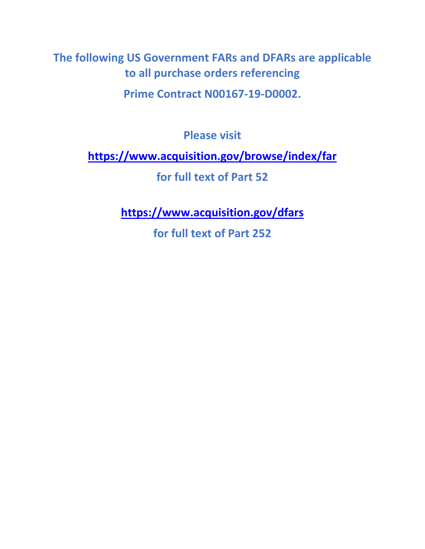**The following US Government FARs and DFARs are applicable to all purchase orders referencing**

**Prime Contract N00167-19-D0002.**

**Please visit**

**<https://www.acquisition.gov/browse/index/far>**

**for full text of Part 52**

**<https://www.acquisition.gov/dfars>**

**for full text of Part 252**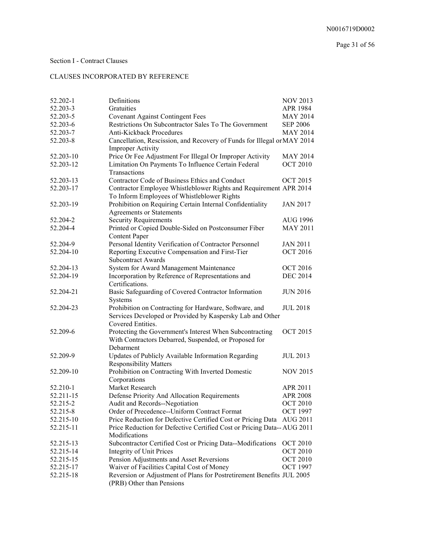## Section I - Contract Clauses

## CLAUSES INCORPORATED BY REFERENCE

| 52.202-1  | Definitions                                                             | <b>NOV 2013</b> |
|-----------|-------------------------------------------------------------------------|-----------------|
| 52.203-3  | Gratuities                                                              | APR 1984        |
| 52.203-5  | <b>Covenant Against Contingent Fees</b>                                 | <b>MAY 2014</b> |
| 52.203-6  | Restrictions On Subcontractor Sales To The Government                   | <b>SEP 2006</b> |
| 52.203-7  | Anti-Kickback Procedures                                                | <b>MAY 2014</b> |
| 52.203-8  | Cancellation, Rescission, and Recovery of Funds for Illegal or MAY 2014 |                 |
|           | <b>Improper Activity</b>                                                |                 |
| 52.203-10 | Price Or Fee Adjustment For Illegal Or Improper Activity                | <b>MAY 2014</b> |
| 52.203-12 | Limitation On Payments To Influence Certain Federal                     | <b>OCT 2010</b> |
|           | Transactions                                                            |                 |
| 52.203-13 | Contractor Code of Business Ethics and Conduct                          | <b>OCT 2015</b> |
| 52.203-17 | Contractor Employee Whistleblower Rights and Requirement APR 2014       |                 |
|           | To Inform Employees of Whistleblower Rights                             |                 |
| 52.203-19 | Prohibition on Requiring Certain Internal Confidentiality               | <b>JAN 2017</b> |
|           | <b>Agreements or Statements</b>                                         |                 |
| 52.204-2  | <b>Security Requirements</b>                                            | <b>AUG 1996</b> |
| 52.204-4  | Printed or Copied Double-Sided on Postconsumer Fiber                    | <b>MAY 2011</b> |
|           | <b>Content Paper</b>                                                    |                 |
| 52.204-9  | Personal Identity Verification of Contractor Personnel                  | <b>JAN 2011</b> |
| 52.204-10 | Reporting Executive Compensation and First-Tier                         | <b>OCT 2016</b> |
|           | <b>Subcontract Awards</b>                                               |                 |
| 52.204-13 | System for Award Management Maintenance                                 | <b>OCT 2016</b> |
| 52.204-19 | Incorporation by Reference of Representations and                       | <b>DEC 2014</b> |
|           | Certifications.                                                         |                 |
| 52.204-21 | Basic Safeguarding of Covered Contractor Information                    | <b>JUN 2016</b> |
|           | Systems                                                                 |                 |
| 52.204-23 | Prohibition on Contracting for Hardware, Software, and                  | <b>JUL 2018</b> |
|           | Services Developed or Provided by Kaspersky Lab and Other               |                 |
|           | Covered Entities.                                                       |                 |
| 52.209-6  | Protecting the Government's Interest When Subcontracting                | <b>OCT 2015</b> |
|           | With Contractors Debarred, Suspended, or Proposed for                   |                 |
|           | Debarment                                                               |                 |
| 52.209-9  | Updates of Publicly Available Information Regarding                     | <b>JUL 2013</b> |
|           | <b>Responsibility Matters</b>                                           |                 |
| 52.209-10 | Prohibition on Contracting With Inverted Domestic                       | <b>NOV 2015</b> |
|           | Corporations                                                            |                 |
| 52.210-1  | Market Research                                                         | APR 2011        |
| 52.211-15 | Defense Priority And Allocation Requirements                            | <b>APR 2008</b> |
| 52.215-2  | Audit and Records--Negotiation                                          | <b>OCT 2010</b> |
| 52.215-8  | Order of Precedence--Uniform Contract Format                            | <b>OCT 1997</b> |
| 52.215-10 | Price Reduction for Defective Certified Cost or Pricing Data AUG 2011   |                 |
| 52.215-11 | Price Reduction for Defective Certified Cost or Pricing Data-- AUG 2011 |                 |
|           | Modifications                                                           |                 |
| 52.215-13 | Subcontractor Certified Cost or Pricing Data--Modifications             | <b>OCT 2010</b> |
| 52.215-14 | Integrity of Unit Prices                                                | <b>OCT 2010</b> |
| 52.215-15 | Pension Adjustments and Asset Reversions                                | <b>OCT 2010</b> |
| 52.215-17 | Waiver of Facilities Capital Cost of Money                              | <b>OCT 1997</b> |
| 52.215-18 | Reversion or Adjustment of Plans for Postretirement Benefits JUL 2005   |                 |
|           | (PRB) Other than Pensions                                               |                 |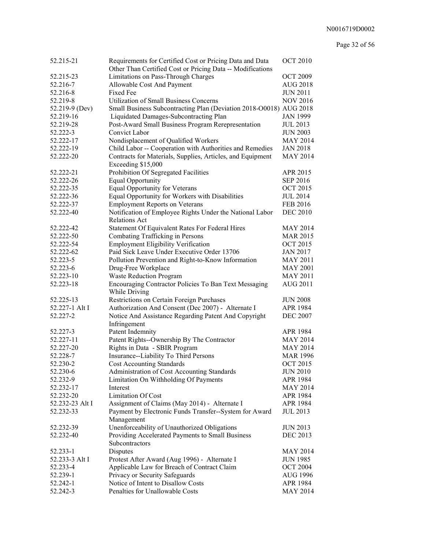# Page 32 of 56

| 52.215-21       | Requirements for Certified Cost or Pricing Data and Data<br>Other Than Certified Cost or Pricing Data -- Modifications | <b>OCT 2010</b> |
|-----------------|------------------------------------------------------------------------------------------------------------------------|-----------------|
| 52.215-23       | Limitations on Pass-Through Charges                                                                                    | <b>OCT 2009</b> |
| 52.216-7        | Allowable Cost And Payment                                                                                             | <b>AUG 2018</b> |
| 52.216-8        | Fixed Fee                                                                                                              | <b>JUN 2011</b> |
| 52.219-8        | Utilization of Small Business Concerns                                                                                 | <b>NOV 2016</b> |
| 52.219-9 (Dev)  | Small Business Subcontracting Plan (Deviation 2018-O0018) AUG 2018                                                     |                 |
| 52.219-16       | Liquidated Damages-Subcontracting Plan                                                                                 | <b>JAN 1999</b> |
| 52.219-28       | Post-Award Small Business Program Rerepresentation                                                                     | <b>JUL 2013</b> |
| 52.222-3        | <b>Convict Labor</b>                                                                                                   | <b>JUN 2003</b> |
| 52.222-17       | Nondisplacement of Qualified Workers                                                                                   | <b>MAY 2014</b> |
| 52.222-19       | Child Labor -- Cooperation with Authorities and Remedies                                                               | <b>JAN 2018</b> |
| 52.222-20       | Contracts for Materials, Supplies, Articles, and Equipment                                                             | <b>MAY 2014</b> |
|                 | Exceeding \$15,000                                                                                                     |                 |
| 52.222-21       | Prohibition Of Segregated Facilities                                                                                   | APR 2015        |
| 52.222-26       | <b>Equal Opportunity</b>                                                                                               | <b>SEP 2016</b> |
| 52.222-35       | <b>Equal Opportunity for Veterans</b>                                                                                  | <b>OCT 2015</b> |
| 52.222-36       | Equal Opportunity for Workers with Disabilities                                                                        | <b>JUL 2014</b> |
| 52.222-37       | <b>Employment Reports on Veterans</b>                                                                                  | <b>FEB 2016</b> |
| 52.222-40       | Notification of Employee Rights Under the National Labor                                                               | <b>DEC 2010</b> |
|                 | <b>Relations Act</b>                                                                                                   |                 |
| 52.222-42       | Statement Of Equivalent Rates For Federal Hires                                                                        | <b>MAY 2014</b> |
| 52.222-50       | Combating Trafficking in Persons                                                                                       | <b>MAR 2015</b> |
| 52.222-54       | <b>Employment Eligibility Verification</b>                                                                             | <b>OCT 2015</b> |
| 52.222-62       | Paid Sick Leave Under Executive Order 13706                                                                            | <b>JAN 2017</b> |
| 52.223-5        | Pollution Prevention and Right-to-Know Information                                                                     | <b>MAY 2011</b> |
| 52.223-6        | Drug-Free Workplace                                                                                                    | <b>MAY 2001</b> |
| 52.223-10       | <b>Waste Reduction Program</b>                                                                                         | <b>MAY 2011</b> |
| 52.223-18       | Encouraging Contractor Policies To Ban Text Messaging<br>While Driving                                                 | <b>AUG 2011</b> |
| 52.225-13       | Restrictions on Certain Foreign Purchases                                                                              | <b>JUN 2008</b> |
| 52.227-1 Alt I  | Authorization And Consent (Dec 2007) - Alternate I                                                                     | APR 1984        |
| 52.227-2        | Notice And Assistance Regarding Patent And Copyright                                                                   | <b>DEC 2007</b> |
|                 | Infringement                                                                                                           |                 |
| 52.227-3        | Patent Indemnity                                                                                                       | APR 1984        |
| 52.227-11       | Patent Rights--Ownership By The Contractor                                                                             | <b>MAY 2014</b> |
| 52.227-20       | Rights in Data - SBIR Program                                                                                          | <b>MAY 2014</b> |
| 52.228-7        | Insurance--Liability To Third Persons                                                                                  | <b>MAR 1996</b> |
| 52.230-2        | <b>Cost Accounting Standards</b>                                                                                       | <b>OCT 2015</b> |
| 52.230-6        | Administration of Cost Accounting Standards                                                                            | <b>JUN 2010</b> |
| 52.232-9        | Limitation On Withholding Of Payments                                                                                  | APR 1984        |
| 52.232-17       | Interest                                                                                                               | <b>MAY 2014</b> |
| 52.232-20       | <b>Limitation Of Cost</b>                                                                                              | APR 1984        |
| 52.232-23 Alt I | Assignment of Claims (May 2014) - Alternate I                                                                          | APR 1984        |
| 52.232-33       | Payment by Electronic Funds Transfer--System for Award                                                                 | <b>JUL 2013</b> |
|                 | Management                                                                                                             |                 |
| 52.232-39       | Unenforceability of Unauthorized Obligations                                                                           | <b>JUN 2013</b> |
| 52.232-40       | Providing Accelerated Payments to Small Business                                                                       | <b>DEC 2013</b> |
|                 | Subcontractors                                                                                                         |                 |
| 52.233-1        | Disputes                                                                                                               | <b>MAY 2014</b> |
| 52.233-3 Alt I  | Protest After Award (Aug 1996) - Alternate I                                                                           | <b>JUN 1985</b> |
| 52.233-4        | Applicable Law for Breach of Contract Claim                                                                            | <b>OCT 2004</b> |
| 52.239-1        | Privacy or Security Safeguards                                                                                         | AUG 1996        |
| 52.242-1        | Notice of Intent to Disallow Costs                                                                                     | APR 1984        |
| 52.242-3        | Penalties for Unallowable Costs                                                                                        | <b>MAY 2014</b> |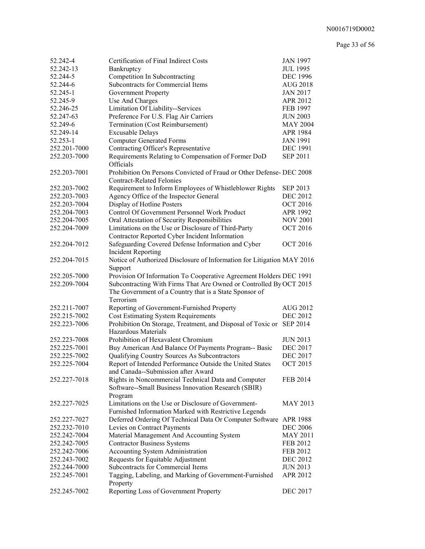Page 33 of 56

| 52.242-4                     | Certification of Final Indirect Costs                                  | <b>JAN 1997</b>                    |
|------------------------------|------------------------------------------------------------------------|------------------------------------|
| 52.242-13                    | Bankruptcy                                                             | <b>JUL 1995</b>                    |
| 52.244-5                     | Competition In Subcontracting                                          | <b>DEC 1996</b>                    |
| 52.244-6                     | Subcontracts for Commercial Items                                      | <b>AUG 2018</b>                    |
| 52.245-1                     | Government Property                                                    | <b>JAN 2017</b>                    |
| 52.245-9                     | Use And Charges                                                        | APR 2012                           |
| 52.246-25                    | Limitation Of Liability--Services                                      | <b>FEB 1997</b>                    |
| 52.247-63                    | Preference For U.S. Flag Air Carriers                                  | <b>JUN 2003</b>                    |
| 52.249-6                     | Termination (Cost Reimbursement)                                       | <b>MAY 2004</b>                    |
| 52.249-14                    | <b>Excusable Delays</b>                                                | APR 1984                           |
| 52.253-1                     | <b>Computer Generated Forms</b>                                        | <b>JAN 1991</b>                    |
| 252.201-7000                 | Contracting Officer's Representative                                   | <b>DEC 1991</b>                    |
| 252.203-7000                 | Requirements Relating to Compensation of Former DoD                    | <b>SEP 2011</b>                    |
|                              | Officials                                                              |                                    |
| 252.203-7001                 | Prohibition On Persons Convicted of Fraud or Other Defense- DEC 2008   |                                    |
|                              | <b>Contract-Related Felonies</b>                                       |                                    |
|                              | Requirement to Inform Employees of Whistleblower Rights                |                                    |
| 252.203-7002<br>252.203-7003 |                                                                        | <b>SEP 2013</b><br><b>DEC 2012</b> |
|                              | Agency Office of the Inspector General                                 |                                    |
| 252.203-7004                 | Display of Hotline Posters                                             | <b>OCT 2016</b>                    |
| 252.204-7003                 | Control Of Government Personnel Work Product                           | APR 1992                           |
| 252.204-7005                 | Oral Attestation of Security Responsibilities                          | <b>NOV 2001</b>                    |
| 252.204-7009                 | Limitations on the Use or Disclosure of Third-Party                    | <b>OCT 2016</b>                    |
|                              | Contractor Reported Cyber Incident Information                         |                                    |
| 252.204-7012                 | Safeguarding Covered Defense Information and Cyber                     | <b>OCT 2016</b>                    |
|                              | <b>Incident Reporting</b>                                              |                                    |
| 252.204-7015                 | Notice of Authorized Disclosure of Information for Litigation MAY 2016 |                                    |
|                              | Support                                                                |                                    |
| 252.205-7000                 | Provision Of Information To Cooperative Agreement Holders DEC 1991     |                                    |
| 252.209-7004                 | Subcontracting With Firms That Are Owned or Controlled By OCT 2015     |                                    |
|                              | The Government of a Country that is a State Sponsor of                 |                                    |
|                              | Terrorism                                                              |                                    |
| 252.211-7007                 | Reporting of Government-Furnished Property                             | <b>AUG 2012</b>                    |
| 252.215-7002                 | <b>Cost Estimating System Requirements</b>                             | <b>DEC 2012</b>                    |
| 252.223-7006                 | Prohibition On Storage, Treatment, and Disposal of Toxic or SEP 2014   |                                    |
|                              | Hazardous Materials                                                    |                                    |
| 252.223-7008                 | Prohibition of Hexavalent Chromium                                     | <b>JUN 2013</b>                    |
| 252.225-7001                 | Buy American And Balance Of Payments Program-- Basic                   | <b>DEC 2017</b>                    |
| 252.225-7002                 | Qualifying Country Sources As Subcontractors                           | <b>DEC 2017</b>                    |
| 252.225-7004                 | Report of Intended Performance Outside the United States               | <b>OCT 2015</b>                    |
|                              | and Canada--Submission after Award                                     |                                    |
| 252.227-7018                 | Rights in Noncommercial Technical Data and Computer                    | <b>FEB 2014</b>                    |
|                              | Software--Small Business Innovation Research (SBIR)                    |                                    |
|                              | Program                                                                |                                    |
| 252.227-7025                 | Limitations on the Use or Disclosure of Government-                    | <b>MAY 2013</b>                    |
|                              | Furnished Information Marked with Restrictive Legends                  |                                    |
| 252.227-7027                 | Deferred Ordering Of Technical Data Or Computer Software APR 1988      |                                    |
|                              |                                                                        |                                    |
| 252.232-7010                 | Levies on Contract Payments                                            | <b>DEC 2006</b>                    |
| 252.242-7004                 | Material Management And Accounting System                              | <b>MAY 2011</b>                    |
| 252.242-7005                 | <b>Contractor Business Systems</b>                                     | FEB 2012                           |
| 252.242-7006                 | Accounting System Administration                                       | FEB 2012                           |
| 252.243-7002                 | Requests for Equitable Adjustment                                      | <b>DEC 2012</b>                    |
| 252.244-7000                 | Subcontracts for Commercial Items                                      | <b>JUN 2013</b>                    |
| 252.245-7001                 | Tagging, Labeling, and Marking of Government-Furnished                 | APR 2012                           |
|                              | Property                                                               |                                    |
| 252.245-7002                 | Reporting Loss of Government Property                                  | <b>DEC 2017</b>                    |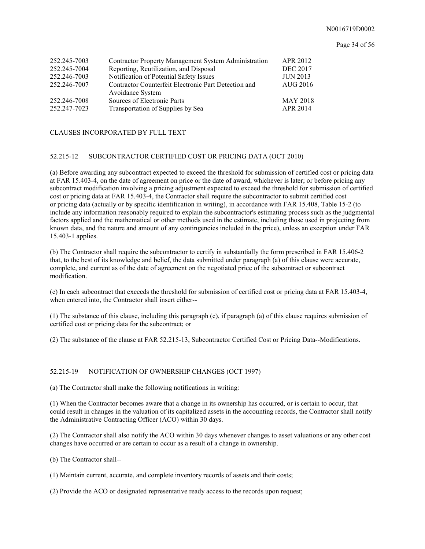Page 34 of 56

| 252.245-7003 | Contractor Property Management System Administration | APR 2012        |
|--------------|------------------------------------------------------|-----------------|
| 252.245-7004 | Reporting, Reutilization, and Disposal               | <b>DEC 2017</b> |
| 252.246-7003 | Notification of Potential Safety Issues              | <b>JUN 2013</b> |
| 252.246-7007 | Contractor Counterfeit Electronic Part Detection and | AUG 2016        |
|              | Avoidance System                                     |                 |
| 252.246-7008 | Sources of Electronic Parts                          | <b>MAY 2018</b> |
| 252.247-7023 | Transportation of Supplies by Sea                    | <b>APR 2014</b> |

#### CLAUSES INCORPORATED BY FULL TEXT

#### 52.215-12 SUBCONTRACTOR CERTIFIED COST OR PRICING DATA (OCT 2010)

(a) Before awarding any subcontract expected to exceed the threshold for submission of certified cost or pricing data at FAR 15.403-4, on the date of agreement on price or the date of award, whichever is later; or before pricing any subcontract modification involving a pricing adjustment expected to exceed the threshold for submission of certified cost or pricing data at FAR 15.403-4, the Contractor shall require the subcontractor to submit certified cost or pricing data (actually or by specific identification in writing), in accordance with FAR 15.408, Table 15-2 (to include any information reasonably required to explain the subcontractor's estimating process such as the judgmental factors applied and the mathematical or other methods used in the estimate, including those used in projecting from known data, and the nature and amount of any contingencies included in the price), unless an exception under FAR 15.403-1 applies.

(b) The Contractor shall require the subcontractor to certify in substantially the form prescribed in FAR 15.406-2 that, to the best of its knowledge and belief, the data submitted under paragraph (a) of this clause were accurate, complete, and current as of the date of agreement on the negotiated price of the subcontract or subcontract modification.

(c) In each subcontract that exceeds the threshold for submission of certified cost or pricing data at FAR 15.403-4, when entered into, the Contractor shall insert either--

(1) The substance of this clause, including this paragraph (c), if paragraph (a) of this clause requires submission of certified cost or pricing data for the subcontract; or

(2) The substance of the clause at FAR 52.215-13, Subcontractor Certified Cost or Pricing Data--Modifications.

#### 52.215-19 NOTIFICATION OF OWNERSHIP CHANGES (OCT 1997)

(a) The Contractor shall make the following notifications in writing:

(1) When the Contractor becomes aware that a change in its ownership has occurred, or is certain to occur, that could result in changes in the valuation of its capitalized assets in the accounting records, the Contractor shall notify the Administrative Contracting Officer (ACO) within 30 days.

(2) The Contractor shall also notify the ACO within 30 days whenever changes to asset valuations or any other cost changes have occurred or are certain to occur as a result of a change in ownership.

(b) The Contractor shall--

(1) Maintain current, accurate, and complete inventory records of assets and their costs;

(2) Provide the ACO or designated representative ready access to the records upon request;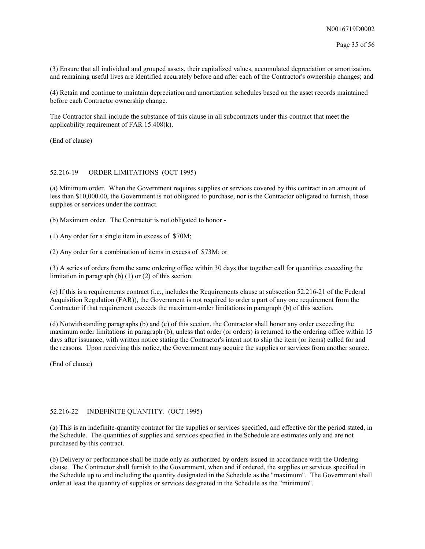(3) Ensure that all individual and grouped assets, their capitalized values, accumulated depreciation or amortization, and remaining useful lives are identified accurately before and after each of the Contractor's ownership changes; and

(4) Retain and continue to maintain depreciation and amortization schedules based on the asset records maintained before each Contractor ownership change.

The Contractor shall include the substance of this clause in all subcontracts under this contract that meet the applicability requirement of FAR 15.408(k).

(End of clause)

#### 52.216-19 ORDER LIMITATIONS (OCT 1995)

(a) Minimum order. When the Government requires supplies or services covered by this contract in an amount of less than \$10,000.00, the Government is not obligated to purchase, nor is the Contractor obligated to furnish, those supplies or services under the contract.

(b) Maximum order. The Contractor is not obligated to honor -

(1) Any order for a single item in excess of \$70M;

(2) Any order for a combination of items in excess of \$73M; or

(3) A series of orders from the same ordering office within 30 days that together call for quantities exceeding the limitation in paragraph (b) (1) or (2) of this section.

(c) If this is a requirements contract (i.e., includes the Requirements clause at subsection 52.216-21 of the Federal Acquisition Regulation (FAR)), the Government is not required to order a part of any one requirement from the Contractor if that requirement exceeds the maximum-order limitations in paragraph (b) of this section.

(d) Notwithstanding paragraphs (b) and (c) of this section, the Contractor shall honor any order exceeding the maximum order limitations in paragraph (b), unless that order (or orders) is returned to the ordering office within 15 days after issuance, with written notice stating the Contractor's intent not to ship the item (or items) called for and the reasons. Upon receiving this notice, the Government may acquire the supplies or services from another source.

(End of clause)

### 52.216-22 INDEFINITE QUANTITY. (OCT 1995)

(a) This is an indefinite-quantity contract for the supplies or services specified, and effective for the period stated, in the Schedule. The quantities of supplies and services specified in the Schedule are estimates only and are not purchased by this contract.

(b) Delivery or performance shall be made only as authorized by orders issued in accordance with the Ordering clause. The Contractor shall furnish to the Government, when and if ordered, the supplies or services specified in the Schedule up to and including the quantity designated in the Schedule as the "maximum". The Government shall order at least the quantity of supplies or services designated in the Schedule as the "minimum".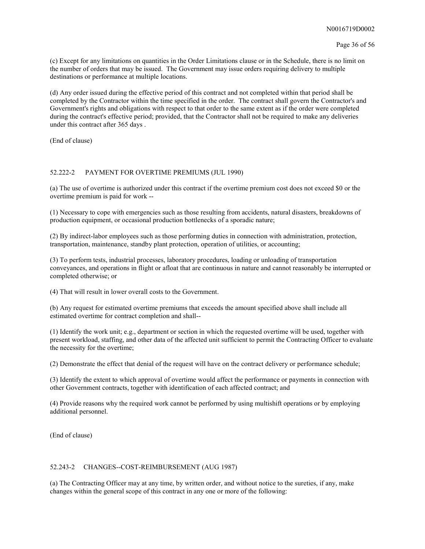(c) Except for any limitations on quantities in the Order Limitations clause or in the Schedule, there is no limit on the number of orders that may be issued. The Government may issue orders requiring delivery to multiple destinations or performance at multiple locations.

(d) Any order issued during the effective period of this contract and not completed within that period shall be completed by the Contractor within the time specified in the order. The contract shall govern the Contractor's and Government's rights and obligations with respect to that order to the same extent as if the order were completed during the contract's effective period; provided, that the Contractor shall not be required to make any deliveries under this contract after 365 days .

(End of clause)

#### 52.222-2 PAYMENT FOR OVERTIME PREMIUMS (JUL 1990)

(a) The use of overtime is authorized under this contract if the overtime premium cost does not exceed \$0 or the overtime premium is paid for work --

(1) Necessary to cope with emergencies such as those resulting from accidents, natural disasters, breakdowns of production equipment, or occasional production bottlenecks of a sporadic nature;

(2) By indirect-labor employees such as those performing duties in connection with administration, protection, transportation, maintenance, standby plant protection, operation of utilities, or accounting;

(3) To perform tests, industrial processes, laboratory procedures, loading or unloading of transportation conveyances, and operations in flight or afloat that are continuous in nature and cannot reasonably be interrupted or completed otherwise; or

(4) That will result in lower overall costs to the Government.

(b) Any request for estimated overtime premiums that exceeds the amount specified above shall include all estimated overtime for contract completion and shall--

(1) Identify the work unit; e.g., department or section in which the requested overtime will be used, together with present workload, staffing, and other data of the affected unit sufficient to permit the Contracting Officer to evaluate the necessity for the overtime;

(2) Demonstrate the effect that denial of the request will have on the contract delivery or performance schedule;

(3) Identify the extent to which approval of overtime would affect the performance or payments in connection with other Government contracts, together with identification of each affected contract; and

(4) Provide reasons why the required work cannot be performed by using multishift operations or by employing additional personnel.

(End of clause)

#### 52.243-2 CHANGES--COST-REIMBURSEMENT (AUG 1987)

(a) The Contracting Officer may at any time, by written order, and without notice to the sureties, if any, make changes within the general scope of this contract in any one or more of the following: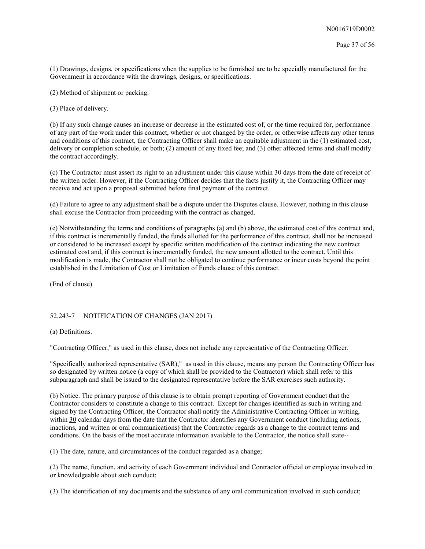(1) Drawings, designs, or specifications when the supplies to be furnished are to be specially manufactured for the Government in accordance with the drawings, designs, or specifications.

(2) Method of shipment or packing.

(3) Place of delivery.

(b) If any such change causes an increase or decrease in the estimated cost of, or the time required for, performance of any part of the work under this contract, whether or not changed by the order, or otherwise affects any other terms and conditions of this contract, the Contracting Officer shall make an equitable adjustment in the (1) estimated cost, delivery or completion schedule, or both; (2) amount of any fixed fee; and (3) other affected terms and shall modify the contract accordingly.

(c) The Contractor must assert its right to an adjustment under this clause within 30 days from the date of receipt of the written order. However, if the Contracting Officer decides that the facts justify it, the Contracting Officer may receive and act upon a proposal submitted before final payment of the contract.

(d) Failure to agree to any adjustment shall be a dispute under the Disputes clause. However, nothing in this clause shall excuse the Contractor from proceeding with the contract as changed.

(e) Notwithstanding the terms and conditions of paragraphs (a) and (b) above, the estimated cost of this contract and, if this contract is incrementally funded, the funds allotted for the performance of this contract, shall not be increased or considered to be increased except by specific written modification of the contract indicating the new contract estimated cost and, if this contract is incrementally funded, the new amount allotted to the contract. Until this modification is made, the Contractor shall not be obligated to continue performance or incur costs beyond the point established in the Limitation of Cost or Limitation of Funds clause of this contract.

(End of clause)

### 52.243-7 NOTIFICATION OF CHANGES (JAN 2017)

(a) Definitions.

"Contracting Officer," as used in this clause, does not include any representative of the Contracting Officer.

"Specifically authorized representative (SAR)," as used in this clause, means any person the Contracting Officer has so designated by written notice (a copy of which shall be provided to the Contractor) which shall refer to this subparagraph and shall be issued to the designated representative before the SAR exercises such authority.

(b) Notice. The primary purpose of this clause is to obtain prompt reporting of Government conduct that the Contractor considers to constitute a change to this contract. Except for changes identified as such in writing and signed by the Contracting Officer, the Contractor shall notify the Administrative Contracting Officer in writing, within 30 calendar days from the date that the Contractor identifies any Government conduct (including actions, inactions, and written or oral communications) that the Contractor regards as a change to the contract terms and conditions. On the basis of the most accurate information available to the Contractor, the notice shall state--

(1) The date, nature, and circumstances of the conduct regarded as a change;

(2) The name, function, and activity of each Government individual and Contractor official or employee involved in or knowledgeable about such conduct;

(3) The identification of any documents and the substance of any oral communication involved in such conduct;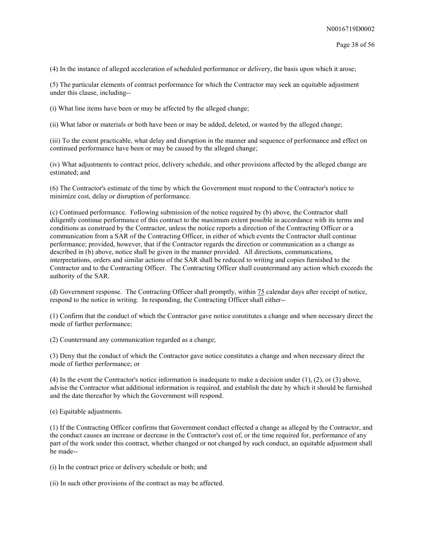(4) In the instance of alleged acceleration of scheduled performance or delivery, the basis upon which it arose;

(5) The particular elements of contract performance for which the Contractor may seek an equitable adjustment under this clause, including--

(i) What line items have been or may be affected by the alleged change;

(ii) What labor or materials or both have been or may be added, deleted, or wasted by the alleged change;

(iii) To the extent practicable, what delay and disruption in the manner and sequence of performance and effect on continued performance have been or may be caused by the alleged change;

(iv) What adjustments to contract price, delivery schedule, and other provisions affected by the alleged change are estimated; and

(6) The Contractor's estimate of the time by which the Government must respond to the Contractor's notice to minimize cost, delay or disruption of performance.

(c) Continued performance. Following submission of the notice required by (b) above, the Contractor shall diligently continue performance of this contract to the maximum extent possible in accordance with its terms and conditions as construed by the Contractor, unless the notice reports a direction of the Contracting Officer or a communication from a SAR of the Contracting Officer, in either of which events the Contractor shall continue performance; provided, however, that if the Contractor regards the direction or communication as a change as described in (b) above, notice shall be given in the manner provided. All directions, communications, interpretations, orders and similar actions of the SAR shall be reduced to writing and copies furnished to the Contractor and to the Contracting Officer. The Contracting Officer shall countermand any action which exceeds the authority of the SAR.

(d) Government response. The Contracting Officer shall promptly, within 75 calendar days after receipt of notice, respond to the notice in writing. In responding, the Contracting Officer shall either--

(1) Confirm that the conduct of which the Contractor gave notice constitutes a change and when necessary direct the mode of further performance;

(2) Countermand any communication regarded as a change;

(3) Deny that the conduct of which the Contractor gave notice constitutes a change and when necessary direct the mode of further performance; or

(4) In the event the Contractor's notice information is inadequate to make a decision under (1), (2), or (3) above, advise the Contractor what additional information is required, and establish the date by which it should be furnished and the date thereafter by which the Government will respond.

(e) Equitable adjustments.

(1) If the Contracting Officer confirms that Government conduct effected a change as alleged by the Contractor, and the conduct causes an increase or decrease in the Contractor's cost of, or the time required for, performance of any part of the work under this contract, whether changed or not changed by such conduct, an equitable adjustment shall be made--

(i) In the contract price or delivery schedule or both; and

(ii) In such other provisions of the contract as may be affected.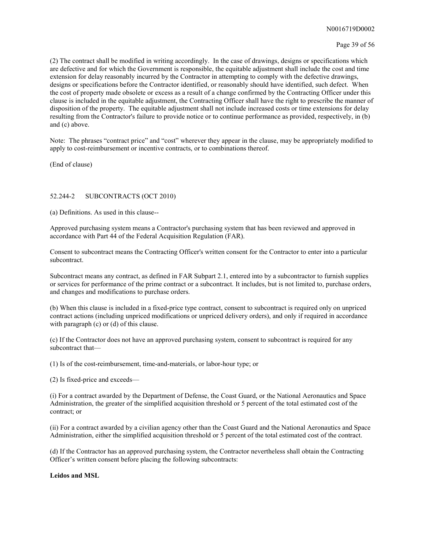(2) The contract shall be modified in writing accordingly. In the case of drawings, designs or specifications which are defective and for which the Government is responsible, the equitable adjustment shall include the cost and time extension for delay reasonably incurred by the Contractor in attempting to comply with the defective drawings, designs or specifications before the Contractor identified, or reasonably should have identified, such defect. When the cost of property made obsolete or excess as a result of a change confirmed by the Contracting Officer under this clause is included in the equitable adjustment, the Contracting Officer shall have the right to prescribe the manner of disposition of the property. The equitable adjustment shall not include increased costs or time extensions for delay resulting from the Contractor's failure to provide notice or to continue performance as provided, respectively, in (b) and (c) above.

Note: The phrases "contract price" and "cost" wherever they appear in the clause, may be appropriately modified to apply to cost-reimbursement or incentive contracts, or to combinations thereof.

(End of clause)

#### 52.244-2 SUBCONTRACTS (OCT 2010)

(a) Definitions. As used in this clause--

Approved purchasing system means a Contractor's purchasing system that has been reviewed and approved in accordance with Part 44 of the Federal Acquisition Regulation (FAR).

Consent to subcontract means the Contracting Officer's written consent for the Contractor to enter into a particular subcontract.

Subcontract means any contract, as defined in FAR Subpart 2.1, entered into by a subcontractor to furnish supplies or services for performance of the prime contract or a subcontract. It includes, but is not limited to, purchase orders, and changes and modifications to purchase orders.

(b) When this clause is included in a fixed-price type contract, consent to subcontract is required only on unpriced contract actions (including unpriced modifications or unpriced delivery orders), and only if required in accordance with paragraph (c) or (d) of this clause.

(c) If the Contractor does not have an approved purchasing system, consent to subcontract is required for any subcontract that—

(1) Is of the cost-reimbursement, time-and-materials, or labor-hour type; or

(2) Is fixed-price and exceeds—

(i) For a contract awarded by the Department of Defense, the Coast Guard, or the National Aeronautics and Space Administration, the greater of the simplified acquisition threshold or 5 percent of the total estimated cost of the contract; or

(ii) For a contract awarded by a civilian agency other than the Coast Guard and the National Aeronautics and Space Administration, either the simplified acquisition threshold or 5 percent of the total estimated cost of the contract.

(d) If the Contractor has an approved purchasing system, the Contractor nevertheless shall obtain the Contracting Officer's written consent before placing the following subcontracts:

#### Leidos and MSL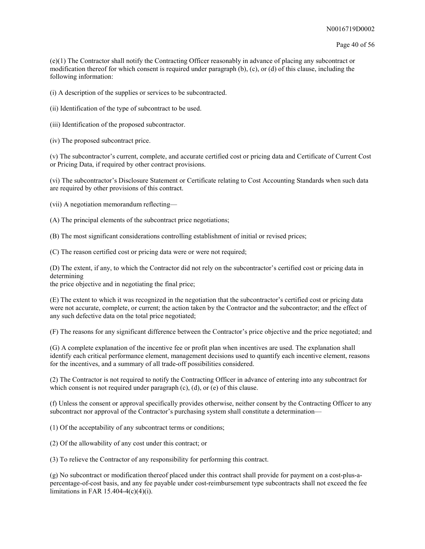(e)(1) The Contractor shall notify the Contracting Officer reasonably in advance of placing any subcontract or modification thereof for which consent is required under paragraph (b), (c), or (d) of this clause, including the following information:

(i) A description of the supplies or services to be subcontracted.

(ii) Identification of the type of subcontract to be used.

(iii) Identification of the proposed subcontractor.

(iv) The proposed subcontract price.

(v) The subcontractor's current, complete, and accurate certified cost or pricing data and Certificate of Current Cost or Pricing Data, if required by other contract provisions.

(vi) The subcontractor's Disclosure Statement or Certificate relating to Cost Accounting Standards when such data are required by other provisions of this contract.

(vii) A negotiation memorandum reflecting—

(A) The principal elements of the subcontract price negotiations;

(B) The most significant considerations controlling establishment of initial or revised prices;

(C) The reason certified cost or pricing data were or were not required;

(D) The extent, if any, to which the Contractor did not rely on the subcontractor's certified cost or pricing data in determining

the price objective and in negotiating the final price;

(E) The extent to which it was recognized in the negotiation that the subcontractor's certified cost or pricing data were not accurate, complete, or current; the action taken by the Contractor and the subcontractor; and the effect of any such defective data on the total price negotiated;

(F) The reasons for any significant difference between the Contractor's price objective and the price negotiated; and

(G) A complete explanation of the incentive fee or profit plan when incentives are used. The explanation shall identify each critical performance element, management decisions used to quantify each incentive element, reasons for the incentives, and a summary of all trade-off possibilities considered.

(2) The Contractor is not required to notify the Contracting Officer in advance of entering into any subcontract for which consent is not required under paragraph (c), (d), or (e) of this clause.

(f) Unless the consent or approval specifically provides otherwise, neither consent by the Contracting Officer to any subcontract nor approval of the Contractor's purchasing system shall constitute a determination—

(1) Of the acceptability of any subcontract terms or conditions;

(2) Of the allowability of any cost under this contract; or

(3) To relieve the Contractor of any responsibility for performing this contract.

(g) No subcontract or modification thereof placed under this contract shall provide for payment on a cost-plus-apercentage-of-cost basis, and any fee payable under cost-reimbursement type subcontracts shall not exceed the fee limitations in FAR 15.404-4(c)(4)(i).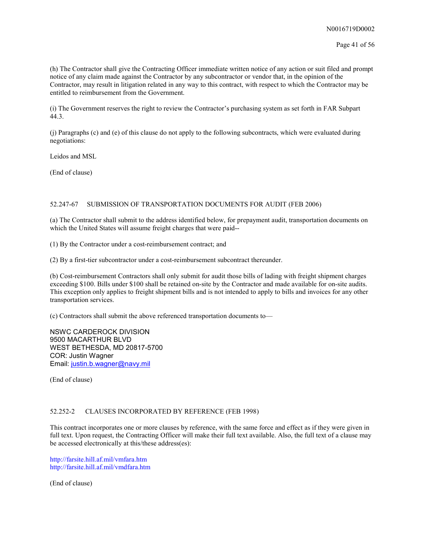(h) The Contractor shall give the Contracting Officer immediate written notice of any action or suit filed and prompt notice of any claim made against the Contractor by any subcontractor or vendor that, in the opinion of the Contractor, may result in litigation related in any way to this contract, with respect to which the Contractor may be entitled to reimbursement from the Government.

(i) The Government reserves the right to review the Contractor's purchasing system as set forth in FAR Subpart 44.3.

(j) Paragraphs (c) and (e) of this clause do not apply to the following subcontracts, which were evaluated during negotiations:

Leidos and MSL

(End of clause)

### 52.247-67 SUBMISSION OF TRANSPORTATION DOCUMENTS FOR AUDIT (FEB 2006)

(a) The Contractor shall submit to the address identified below, for prepayment audit, transportation documents on which the United States will assume freight charges that were paid--

(1) By the Contractor under a cost-reimbursement contract; and

(2) By a first-tier subcontractor under a cost-reimbursement subcontract thereunder.

(b) Cost-reimbursement Contractors shall only submit for audit those bills of lading with freight shipment charges exceeding \$100. Bills under \$100 shall be retained on-site by the Contractor and made available for on-site audits. This exception only applies to freight shipment bills and is not intended to apply to bills and invoices for any other transportation services.

(c) Contractors shall submit the above referenced transportation documents to—

NSWC CARDEROCK DIVISION 9500 MACARTHUR BLVD WEST BETHESDA, MD 20817-5700 COR: Justin Wagner Email: justin.b.wagner@navy.mil

(End of clause)

#### 52.252-2 CLAUSES INCORPORATED BY REFERENCE (FEB 1998)

This contract incorporates one or more clauses by reference, with the same force and effect as if they were given in full text. Upon request, the Contracting Officer will make their full text available. Also, the full text of a clause may be accessed electronically at this/these address(es):

http://farsite.hill.af.mil/vmfara.htm http://farsite.hill.af.mil/vmdfara.htm

(End of clause)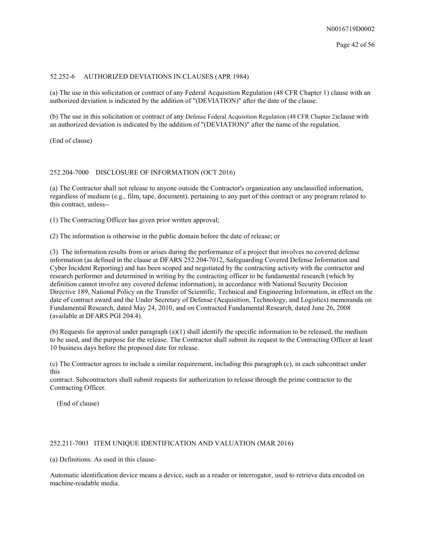#### 52.252-6 AUTHORIZED DEVIATIONS IN CLAUSES (APR 1984)

(a) The use in this solicitation or contract of any Federal Acquisition Regulation (48 CFR Chapter 1) clause with an authorized deviation is indicated by the addition of "(DEVIATION)" after the date of the clause.

(b) The use in this solicitation or contract of any Defense Federal Acquisition Regulation (48 CFR Chapter 2)clause with an authorized deviation is indicated by the addition of "(DEVIATION)" after the name of the regulation.

(End of clause)

#### 252.204-7000 DISCLOSURE OF INFORMATION (OCT 2016)

(a) The Contractor shall not release to anyone outside the Contractor's organization any unclassified information, regardless of medium (e.g., film, tape, document), pertaining to any part of this contract or any program related to this contract, unless--

(1) The Contracting Officer has given prior written approval;

(2) The information is otherwise in the public domain before the date of release; or

(3) The information results from or arises during the performance of a project that involves no covered defense information (as defined in the clause at DFARS 252.204-7012, Safeguarding Covered Defense Information and Cyber Incident Reporting) and has been scoped and negotiated by the contracting activity with the contractor and research performer and determined in writing by the contracting officer to be fundamental research (which by definition cannot involve any covered defense information), in accordance with National Security Decision Directive 189, National Policy on the Transfer of Scientific, Technical and Engineering Information, in effect on the date of contract award and the Under Secretary of Defense (Acquisition, Technology, and Logistics) memoranda on Fundamental Research, dated May 24, 2010, and on Contracted Fundamental Research, dated June 26, 2008 (available at DFARS PGI 204.4).

(b) Requests for approval under paragraph (a)(1) shall identify the specific information to be released, the medium to be used, and the purpose for the release. The Contractor shall submit its request to the Contracting Officer at least 10 business days before the proposed date for release.

(c) The Contractor agrees to include a similar requirement, including this paragraph (c), in each subcontract under this

contract. Subcontractors shall submit requests for authorization to release through the prime contractor to the Contracting Officer.

(End of clause)

#### 252.211-7003 ITEM UNIQUE IDENTIFICATION AND VALUATION (MAR 2016)

(a) Definitions. As used in this clause-

Automatic identification device means a device, such as a reader or interrogator, used to retrieve data encoded on machine-readable media.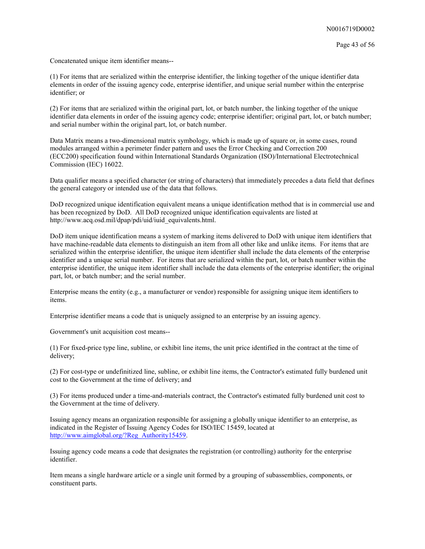Concatenated unique item identifier means--

(1) For items that are serialized within the enterprise identifier, the linking together of the unique identifier data elements in order of the issuing agency code, enterprise identifier, and unique serial number within the enterprise identifier; or

(2) For items that are serialized within the original part, lot, or batch number, the linking together of the unique identifier data elements in order of the issuing agency code; enterprise identifier; original part, lot, or batch number; and serial number within the original part, lot, or batch number.

Data Matrix means a two-dimensional matrix symbology, which is made up of square or, in some cases, round modules arranged within a perimeter finder pattern and uses the Error Checking and Correction 200 (ECC200) specification found within International Standards Organization (ISO)/International Electrotechnical Commission (IEC) 16022.

Data qualifier means a specified character (or string of characters) that immediately precedes a data field that defines the general category or intended use of the data that follows.

DoD recognized unique identification equivalent means a unique identification method that is in commercial use and has been recognized by DoD. All DoD recognized unique identification equivalents are listed at http://www.acq.osd.mil/dpap/pdi/uid/iuid\_equivalents.html.

DoD item unique identification means a system of marking items delivered to DoD with unique item identifiers that have machine-readable data elements to distinguish an item from all other like and unlike items. For items that are serialized within the enterprise identifier, the unique item identifier shall include the data elements of the enterprise identifier and a unique serial number. For items that are serialized within the part, lot, or batch number within the enterprise identifier, the unique item identifier shall include the data elements of the enterprise identifier; the original part, lot, or batch number; and the serial number.

Enterprise means the entity (e.g., a manufacturer or vendor) responsible for assigning unique item identifiers to items.

Enterprise identifier means a code that is uniquely assigned to an enterprise by an issuing agency.

Government's unit acquisition cost means--

(1) For fixed-price type line, subline, or exhibit line items, the unit price identified in the contract at the time of delivery;

(2) For cost-type or undefinitized line, subline, or exhibit line items, the Contractor's estimated fully burdened unit cost to the Government at the time of delivery; and

(3) For items produced under a time-and-materials contract, the Contractor's estimated fully burdened unit cost to the Government at the time of delivery.

Issuing agency means an organization responsible for assigning a globally unique identifier to an enterprise, as indicated in the Register of Issuing Agency Codes for ISO/IEC 15459, located at http://www.aimglobal.org/?Reg\_Authority15459.

Issuing agency code means a code that designates the registration (or controlling) authority for the enterprise identifier.

Item means a single hardware article or a single unit formed by a grouping of subassemblies, components, or constituent parts.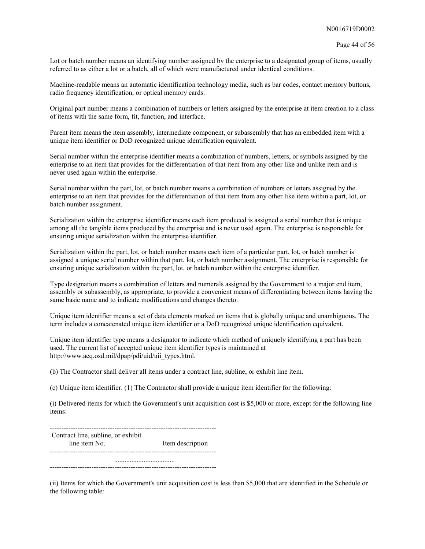Lot or batch number means an identifying number assigned by the enterprise to a designated group of items, usually referred to as either a lot or a batch, all of which were manufactured under identical conditions.

Machine-readable means an automatic identification technology media, such as bar codes, contact memory buttons, radio frequency identification, or optical memory cards.

Original part number means a combination of numbers or letters assigned by the enterprise at item creation to a class of items with the same form, fit, function, and interface.

Parent item means the item assembly, intermediate component, or subassembly that has an embedded item with a unique item identifier or DoD recognized unique identification equivalent.

Serial number within the enterprise identifier means a combination of numbers, letters, or symbols assigned by the enterprise to an item that provides for the differentiation of that item from any other like and unlike item and is never used again within the enterprise.

Serial number within the part, lot, or batch number means a combination of numbers or letters assigned by the enterprise to an item that provides for the differentiation of that item from any other like item within a part, lot, or batch number assignment.

Serialization within the enterprise identifier means each item produced is assigned a serial number that is unique among all the tangible items produced by the enterprise and is never used again. The enterprise is responsible for ensuring unique serialization within the enterprise identifier.

Serialization within the part, lot, or batch number means each item of a particular part, lot, or batch number is assigned a unique serial number within that part, lot, or batch number assignment. The enterprise is responsible for ensuring unique serialization within the part, lot, or batch number within the enterprise identifier.

Type designation means a combination of letters and numerals assigned by the Government to a major end item, assembly or subassembly, as appropriate, to provide a convenient means of differentiating between items having the same basic name and to indicate modifications and changes thereto.

Unique item identifier means a set of data elements marked on items that is globally unique and unambiguous. The term includes a concatenated unique item identifier or a DoD recognized unique identification equivalent.

Unique item identifier type means a designator to indicate which method of uniquely identifying a part has been used. The current list of accepted unique item identifier types is maintained at http://www.acq.osd.mil/dpap/pdi/uid/uii\_types.html.

(b) The Contractor shall deliver all items under a contract line, subline, or exhibit line item.

(c) Unique item identifier. (1) The Contractor shall provide a unique item identifier for the following:

(i) Delivered items for which the Government's unit acquisition cost is \$5,000 or more, except for the following line items:

------------------------------------------------------------------------ Contract line, subline, or exhibit<br>line item No. Item description ------------------------------------------------------------------------ ................................... ------------------------------------------------------------------------

(ii) Items for which the Government's unit acquisition cost is less than \$5,000 that are identified in the Schedule or the following table: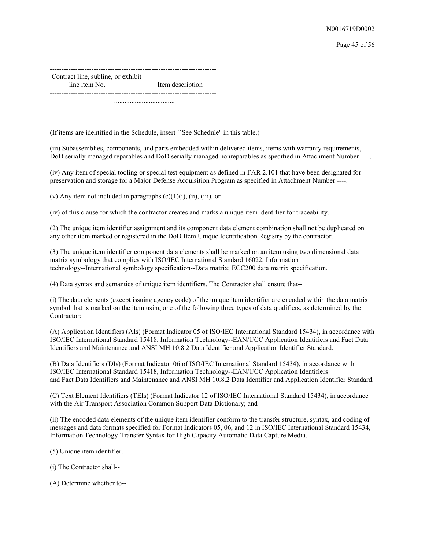Page 45 of 56

------------------------------------------------------------------------ Contract line, subline, or exhibit line item No. Item description ------------------------------------------------------------------------ ................................... ------------------------------------------------------------------------

(If items are identified in the Schedule, insert ``See Schedule'' in this table.)

(iii) Subassemblies, components, and parts embedded within delivered items, items with warranty requirements, DoD serially managed reparables and DoD serially managed nonreparables as specified in Attachment Number ----.

(iv) Any item of special tooling or special test equipment as defined in FAR 2.101 that have been designated for preservation and storage for a Major Defense Acquisition Program as specified in Attachment Number ----.

(v) Any item not included in paragraphs  $(c)(1)(i)$ ,  $(ii)$ ,  $(iii)$ , or

(iv) of this clause for which the contractor creates and marks a unique item identifier for traceability.

(2) The unique item identifier assignment and its component data element combination shall not be duplicated on any other item marked or registered in the DoD Item Unique Identification Registry by the contractor.

(3) The unique item identifier component data elements shall be marked on an item using two dimensional data matrix symbology that complies with ISO/IEC International Standard 16022, Information technology--International symbology specification--Data matrix; ECC200 data matrix specification.

(4) Data syntax and semantics of unique item identifiers. The Contractor shall ensure that--

(i) The data elements (except issuing agency code) of the unique item identifier are encoded within the data matrix symbol that is marked on the item using one of the following three types of data qualifiers, as determined by the Contractor:

(A) Application Identifiers (AIs) (Format Indicator 05 of ISO/IEC International Standard 15434), in accordance with ISO/IEC International Standard 15418, Information Technology--EAN/UCC Application Identifiers and Fact Data Identifiers and Maintenance and ANSI MH 10.8.2 Data Identifier and Application Identifier Standard.

(B) Data Identifiers (DIs) (Format Indicator 06 of ISO/IEC International Standard 15434), in accordance with ISO/IEC International Standard 15418, Information Technology--EAN/UCC Application Identifiers and Fact Data Identifiers and Maintenance and ANSI MH 10.8.2 Data Identifier and Application Identifier Standard.

(C) Text Element Identifiers (TEIs) (Format Indicator 12 of ISO/IEC International Standard 15434), in accordance with the Air Transport Association Common Support Data Dictionary; and

(ii) The encoded data elements of the unique item identifier conform to the transfer structure, syntax, and coding of messages and data formats specified for Format Indicators 05, 06, and 12 in ISO/IEC International Standard 15434, Information Technology-Transfer Syntax for High Capacity Automatic Data Capture Media.

(5) Unique item identifier.

(i) The Contractor shall--

(A) Determine whether to--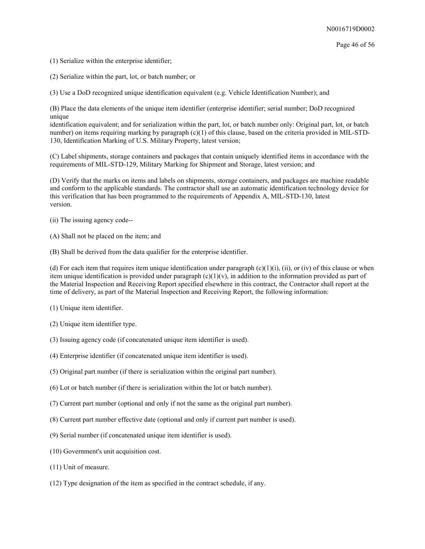(1) Serialize within the enterprise identifier;

(2) Serialize within the part, lot, or batch number; or

(3) Use a DoD recognized unique identification equivalent (e.g. Vehicle Identification Number); and

(B) Place the data elements of the unique item identifier (enterprise identifier; serial number; DoD recognized unique

identification equivalent; and for serialization within the part, lot, or batch number only: Original part, lot, or batch number) on items requiring marking by paragraph (c)(1) of this clause, based on the criteria provided in MIL-STD-130, Identification Marking of U.S. Military Property, latest version;

(C) Label shipments, storage containers and packages that contain uniquely identified items in accordance with the requirements of MIL-STD-129, Military Marking for Shipment and Storage, latest version; and

(D) Verify that the marks on items and labels on shipments, storage containers, and packages are machine readable and conform to the applicable standards. The contractor shall use an automatic identification technology device for this verification that has been programmed to the requirements of Appendix A, MIL-STD-130, latest version.

- (ii) The issuing agency code--
- (A) Shall not be placed on the item; and

(B) Shall be derived from the data qualifier for the enterprise identifier.

(d) For each item that requires item unique identification under paragraph  $(c)(1)(i)$ , (ii), or (iv) of this clause or when item unique identification is provided under paragraph  $(c)(1)(v)$ , in addition to the information provided as part of the Material Inspection and Receiving Report specified elsewhere in this contract, the Contractor shall report at the time of delivery, as part of the Material Inspection and Receiving Report, the following information:

- (1) Unique item identifier.
- (2) Unique item identifier type.
- (3) Issuing agency code (if concatenated unique item identifier is used).
- (4) Enterprise identifier (if concatenated unique item identifier is used).
- (5) Original part number (if there is serialization within the original part number).
- (6) Lot or batch number (if there is serialization within the lot or batch number).
- (7) Current part number (optional and only if not the same as the original part number).
- (8) Current part number effective date (optional and only if current part number is used).
- (9) Serial number (if concatenated unique item identifier is used).
- (10) Government's unit acquisition cost.
- (11) Unit of measure.
- (12) Type designation of the item as specified in the contract schedule, if any.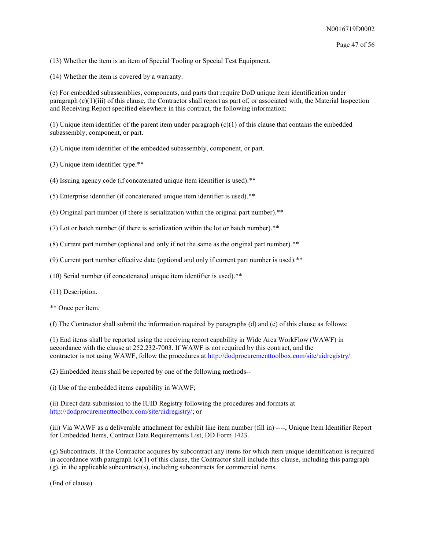(13) Whether the item is an item of Special Tooling or Special Test Equipment.

(14) Whether the item is covered by a warranty.

(e) For embedded subassemblies, components, and parts that require DoD unique item identification under paragraph (c)(1)(iii) of this clause, the Contractor shall report as part of, or associated with, the Material Inspection and Receiving Report specified elsewhere in this contract, the following information:

(1) Unique item identifier of the parent item under paragraph (c)(1) of this clause that contains the embedded subassembly, component, or part.

(2) Unique item identifier of the embedded subassembly, component, or part.

(3) Unique item identifier type.\*\*

(4) Issuing agency code (if concatenated unique item identifier is used).\*\*

(5) Enterprise identifier (if concatenated unique item identifier is used).\*\*

(6) Original part number (if there is serialization within the original part number).\*\*

(7) Lot or batch number (if there is serialization within the lot or batch number).\*\*

(8) Current part number (optional and only if not the same as the original part number).\*\*

(9) Current part number effective date (optional and only if current part number is used).\*\*

(10) Serial number (if concatenated unique item identifier is used).\*\*

(11) Description.

\*\* Once per item.

(f) The Contractor shall submit the information required by paragraphs (d) and (e) of this clause as follows:

(1) End items shall be reported using the receiving report capability in Wide Area WorkFlow (WAWF) in accordance with the clause at 252.232-7003. If WAWF is not required by this contract, and the contractor is not using WAWF, follow the procedures at http://dodprocurementtoolbox.com/site/uidregistry/.

(2) Embedded items shall be reported by one of the following methods--

(i) Use of the embedded items capability in WAWF;

(ii) Direct data submission to the IUID Registry following the procedures and formats at http://dodprocurementtoolbox.com/site/uidregistry/; or

(iii) Via WAWF as a deliverable attachment for exhibit line item number (fill in) ----, Unique Item Identifier Report for Embedded Items, Contract Data Requirements List, DD Form 1423.

(g) Subcontracts. If the Contractor acquires by subcontract any items for which item unique identification is required in accordance with paragraph  $(c)(1)$  of this clause, the Contractor shall include this clause, including this paragraph (g), in the applicable subcontract(s), including subcontracts for commercial items.

(End of clause)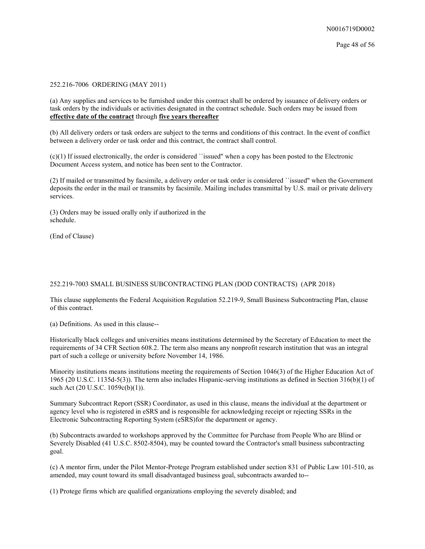#### 252.216-7006 ORDERING (MAY 2011)

(a) Any supplies and services to be furnished under this contract shall be ordered by issuance of delivery orders or task orders by the individuals or activities designated in the contract schedule. Such orders may be issued from effective date of the contract through five years thereafter

(b) All delivery orders or task orders are subject to the terms and conditions of this contract. In the event of conflict between a delivery order or task order and this contract, the contract shall control.

 $(c)(1)$  If issued electronically, the order is considered ''issued'' when a copy has been posted to the Electronic Document Access system, and notice has been sent to the Contractor.

(2) If mailed or transmitted by facsimile, a delivery order or task order is considered ``issued'' when the Government deposits the order in the mail or transmits by facsimile. Mailing includes transmittal by U.S. mail or private delivery services.

(3) Orders may be issued orally only if authorized in the schedule.

(End of Clause)

#### 252.219-7003 SMALL BUSINESS SUBCONTRACTING PLAN (DOD CONTRACTS) (APR 2018)

This clause supplements the Federal Acquisition Regulation 52.219-9, Small Business Subcontracting Plan, clause of this contract.

(a) Definitions. As used in this clause--

Historically black colleges and universities means institutions determined by the Secretary of Education to meet the requirements of 34 CFR Section 608.2. The term also means any nonprofit research institution that was an integral part of such a college or university before November 14, 1986.

Minority institutions means institutions meeting the requirements of Section 1046(3) of the Higher Education Act of 1965 (20 U.S.C. 1135d-5(3)). The term also includes Hispanic-serving institutions as defined in Section 316(b)(1) of such Act (20 U.S.C. 1059c(b)(1)).

Summary Subcontract Report (SSR) Coordinator, as used in this clause, means the individual at the department or agency level who is registered in eSRS and is responsible for acknowledging receipt or rejecting SSRs in the Electronic Subcontracting Reporting System (eSRS)for the department or agency.

(b) Subcontracts awarded to workshops approved by the Committee for Purchase from People Who are Blind or Severely Disabled (41 U.S.C. 8502-8504), may be counted toward the Contractor's small business subcontracting goal.

(c) A mentor firm, under the Pilot Mentor-Protege Program established under section 831 of Public Law 101-510, as amended, may count toward its small disadvantaged business goal, subcontracts awarded to--

(1) Protege firms which are qualified organizations employing the severely disabled; and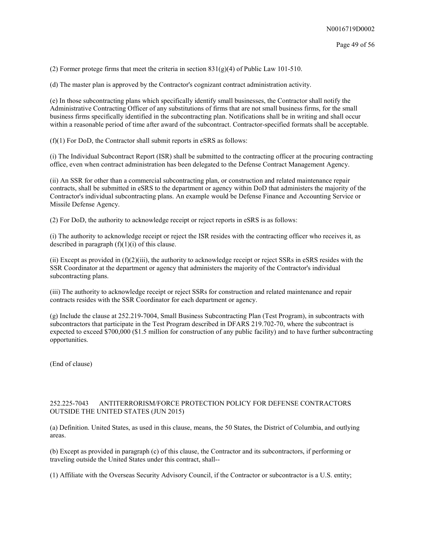Page 49 of 56

(2) Former protege firms that meet the criteria in section  $831(g)(4)$  of Public Law 101-510.

(d) The master plan is approved by the Contractor's cognizant contract administration activity.

(e) In those subcontracting plans which specifically identify small businesses, the Contractor shall notify the Administrative Contracting Officer of any substitutions of firms that are not small business firms, for the small business firms specifically identified in the subcontracting plan. Notifications shall be in writing and shall occur within a reasonable period of time after award of the subcontract. Contractor-specified formats shall be acceptable.

(f)(1) For DoD, the Contractor shall submit reports in eSRS as follows:

(i) The Individual Subcontract Report (ISR) shall be submitted to the contracting officer at the procuring contracting office, even when contract administration has been delegated to the Defense Contract Management Agency.

(ii) An SSR for other than a commercial subcontracting plan, or construction and related maintenance repair contracts, shall be submitted in eSRS to the department or agency within DoD that administers the majority of the Contractor's individual subcontracting plans. An example would be Defense Finance and Accounting Service or Missile Defense Agency.

(2) For DoD, the authority to acknowledge receipt or reject reports in eSRS is as follows:

(i) The authority to acknowledge receipt or reject the ISR resides with the contracting officer who receives it, as described in paragraph  $(f)(1)(i)$  of this clause.

(ii) Except as provided in (f)(2)(iii), the authority to acknowledge receipt or reject SSRs in eSRS resides with the SSR Coordinator at the department or agency that administers the majority of the Contractor's individual subcontracting plans.

(iii) The authority to acknowledge receipt or reject SSRs for construction and related maintenance and repair contracts resides with the SSR Coordinator for each department or agency.

(g) Include the clause at 252.219-7004, Small Business Subcontracting Plan (Test Program), in subcontracts with subcontractors that participate in the Test Program described in DFARS 219.702-70, where the subcontract is expected to exceed \$700,000 (\$1.5 million for construction of any public facility) and to have further subcontracting opportunities.

(End of clause)

#### 252.225-7043 ANTITERRORISM/FORCE PROTECTION POLICY FOR DEFENSE CONTRACTORS OUTSIDE THE UNITED STATES (JUN 2015)

(a) Definition. United States, as used in this clause, means, the 50 States, the District of Columbia, and outlying areas.

(b) Except as provided in paragraph (c) of this clause, the Contractor and its subcontractors, if performing or traveling outside the United States under this contract, shall--

(1) Affiliate with the Overseas Security Advisory Council, if the Contractor or subcontractor is a U.S. entity;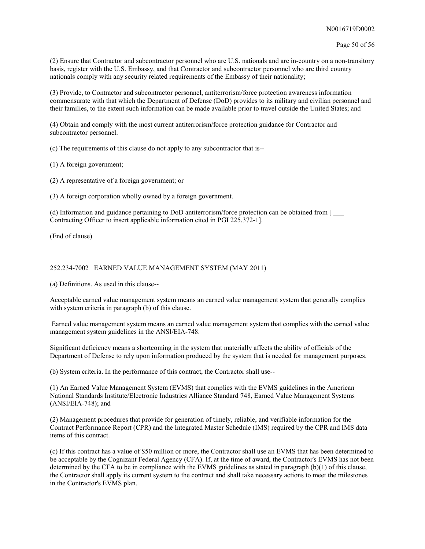(2) Ensure that Contractor and subcontractor personnel who are U.S. nationals and are in-country on a non-transitory basis, register with the U.S. Embassy, and that Contractor and subcontractor personnel who are third country nationals comply with any security related requirements of the Embassy of their nationality;

(3) Provide, to Contractor and subcontractor personnel, antiterrorism/force protection awareness information commensurate with that which the Department of Defense (DoD) provides to its military and civilian personnel and their families, to the extent such information can be made available prior to travel outside the United States; and

(4) Obtain and comply with the most current antiterrorism/force protection guidance for Contractor and subcontractor personnel.

(c) The requirements of this clause do not apply to any subcontractor that is--

(1) A foreign government;

(2) A representative of a foreign government; or

(3) A foreign corporation wholly owned by a foreign government.

(d) Information and guidance pertaining to DoD antiterrorism/force protection can be obtained from [ \_\_\_ Contracting Officer to insert applicable information cited in PGI 225.372-1].

(End of clause)

#### 252.234-7002 EARNED VALUE MANAGEMENT SYSTEM (MAY 2011)

(a) Definitions. As used in this clause--

Acceptable earned value management system means an earned value management system that generally complies with system criteria in paragraph (b) of this clause.

 Earned value management system means an earned value management system that complies with the earned value management system guidelines in the ANSI/EIA-748.

Significant deficiency means a shortcoming in the system that materially affects the ability of officials of the Department of Defense to rely upon information produced by the system that is needed for management purposes.

(b) System criteria. In the performance of this contract, the Contractor shall use--

(1) An Earned Value Management System (EVMS) that complies with the EVMS guidelines in the American National Standards Institute/Electronic Industries Alliance Standard 748, Earned Value Management Systems (ANSI/EIA-748); and

(2) Management procedures that provide for generation of timely, reliable, and verifiable information for the Contract Performance Report (CPR) and the Integrated Master Schedule (IMS) required by the CPR and IMS data items of this contract.

(c) If this contract has a value of \$50 million or more, the Contractor shall use an EVMS that has been determined to be acceptable by the Cognizant Federal Agency (CFA). If, at the time of award, the Contractor's EVMS has not been determined by the CFA to be in compliance with the EVMS guidelines as stated in paragraph (b)(1) of this clause, the Contractor shall apply its current system to the contract and shall take necessary actions to meet the milestones in the Contractor's EVMS plan.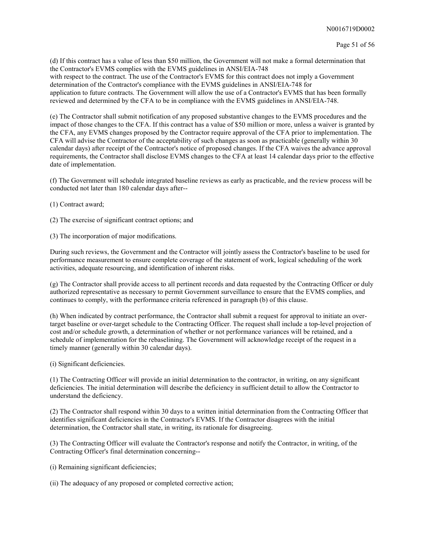(d) If this contract has a value of less than \$50 million, the Government will not make a formal determination that the Contractor's EVMS complies with the EVMS guidelines in ANSI/EIA-748 with respect to the contract. The use of the Contractor's EVMS for this contract does not imply a Government determination of the Contractor's compliance with the EVMS guidelines in ANSI/EIA-748 for application to future contracts. The Government will allow the use of a Contractor's EVMS that has been formally reviewed and determined by the CFA to be in compliance with the EVMS guidelines in ANSI/EIA-748.

(e) The Contractor shall submit notification of any proposed substantive changes to the EVMS procedures and the impact of those changes to the CFA. If this contract has a value of \$50 million or more, unless a waiver is granted by the CFA, any EVMS changes proposed by the Contractor require approval of the CFA prior to implementation. The CFA will advise the Contractor of the acceptability of such changes as soon as practicable (generally within 30 calendar days) after receipt of the Contractor's notice of proposed changes. If the CFA waives the advance approval requirements, the Contractor shall disclose EVMS changes to the CFA at least 14 calendar days prior to the effective date of implementation.

(f) The Government will schedule integrated baseline reviews as early as practicable, and the review process will be conducted not later than 180 calendar days after--

- (1) Contract award;
- (2) The exercise of significant contract options; and
- (3) The incorporation of major modifications.

During such reviews, the Government and the Contractor will jointly assess the Contractor's baseline to be used for performance measurement to ensure complete coverage of the statement of work, logical scheduling of the work activities, adequate resourcing, and identification of inherent risks.

(g) The Contractor shall provide access to all pertinent records and data requested by the Contracting Officer or duly authorized representative as necessary to permit Government surveillance to ensure that the EVMS complies, and continues to comply, with the performance criteria referenced in paragraph (b) of this clause.

(h) When indicated by contract performance, the Contractor shall submit a request for approval to initiate an overtarget baseline or over-target schedule to the Contracting Officer. The request shall include a top-level projection of cost and/or schedule growth, a determination of whether or not performance variances will be retained, and a schedule of implementation for the rebaselining. The Government will acknowledge receipt of the request in a timely manner (generally within 30 calendar days).

(i) Significant deficiencies.

(1) The Contracting Officer will provide an initial determination to the contractor, in writing, on any significant deficiencies. The initial determination will describe the deficiency in sufficient detail to allow the Contractor to understand the deficiency.

(2) The Contractor shall respond within 30 days to a written initial determination from the Contracting Officer that identifies significant deficiencies in the Contractor's EVMS. If the Contractor disagrees with the initial determination, the Contractor shall state, in writing, its rationale for disagreeing.

(3) The Contracting Officer will evaluate the Contractor's response and notify the Contractor, in writing, of the Contracting Officer's final determination concerning--

- (i) Remaining significant deficiencies;
- (ii) The adequacy of any proposed or completed corrective action;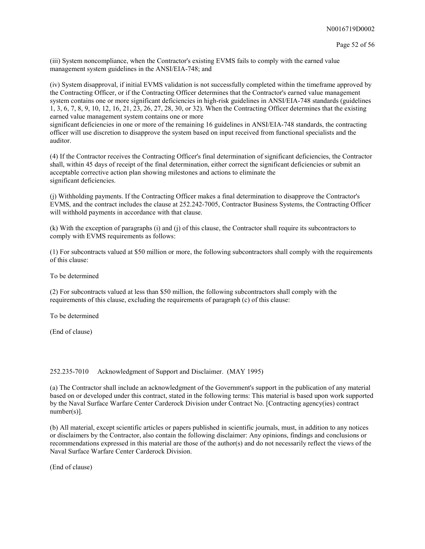(iii) System noncompliance, when the Contractor's existing EVMS fails to comply with the earned value management system guidelines in the ANSI/EIA-748; and

(iv) System disapproval, if initial EVMS validation is not successfully completed within the timeframe approved by the Contracting Officer, or if the Contracting Officer determines that the Contractor's earned value management system contains one or more significant deficiencies in high-risk guidelines in ANSI/EIA-748 standards (guidelines 1, 3, 6, 7, 8, 9, 10, 12, 16, 21, 23, 26, 27, 28, 30, or 32). When the Contracting Officer determines that the existing earned value management system contains one or more

significant deficiencies in one or more of the remaining 16 guidelines in ANSI/EIA-748 standards, the contracting officer will use discretion to disapprove the system based on input received from functional specialists and the auditor.

(4) If the Contractor receives the Contracting Officer's final determination of significant deficiencies, the Contractor shall, within 45 days of receipt of the final determination, either correct the significant deficiencies or submit an acceptable corrective action plan showing milestones and actions to eliminate the significant deficiencies.

(j) Withholding payments. If the Contracting Officer makes a final determination to disapprove the Contractor's EVMS, and the contract includes the clause at 252.242-7005, Contractor Business Systems, the Contracting Officer will withhold payments in accordance with that clause.

(k) With the exception of paragraphs (i) and (j) of this clause, the Contractor shall require its subcontractors to comply with EVMS requirements as follows:

(1) For subcontracts valued at \$50 million or more, the following subcontractors shall comply with the requirements of this clause:

To be determined

(2) For subcontracts valued at less than \$50 million, the following subcontractors shall comply with the requirements of this clause, excluding the requirements of paragraph (c) of this clause:

To be determined

(End of clause)

#### 252.235-7010 Acknowledgment of Support and Disclaimer. (MAY 1995)

(a) The Contractor shall include an acknowledgment of the Government's support in the publication of any material based on or developed under this contract, stated in the following terms: This material is based upon work supported by the Naval Surface Warfare Center Carderock Division under Contract No. [Contracting agency(ies) contract number(s)].

(b) All material, except scientific articles or papers published in scientific journals, must, in addition to any notices or disclaimers by the Contractor, also contain the following disclaimer: Any opinions, findings and conclusions or recommendations expressed in this material are those of the author(s) and do not necessarily reflect the views of the Naval Surface Warfare Center Carderock Division.

(End of clause)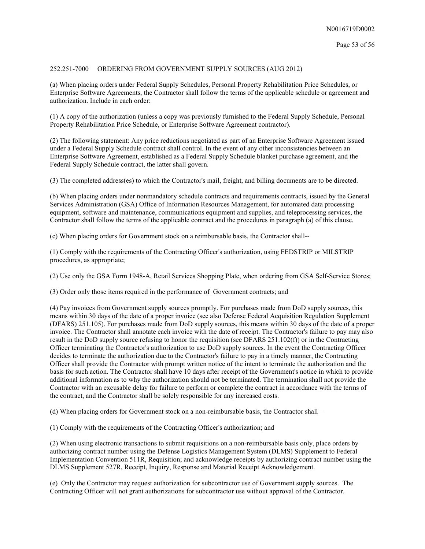### 252.251-7000 ORDERING FROM GOVERNMENT SUPPLY SOURCES (AUG 2012)

(a) When placing orders under Federal Supply Schedules, Personal Property Rehabilitation Price Schedules, or Enterprise Software Agreements, the Contractor shall follow the terms of the applicable schedule or agreement and authorization. Include in each order:

(1) A copy of the authorization (unless a copy was previously furnished to the Federal Supply Schedule, Personal Property Rehabilitation Price Schedule, or Enterprise Software Agreement contractor).

(2) The following statement: Any price reductions negotiated as part of an Enterprise Software Agreement issued under a Federal Supply Schedule contract shall control. In the event of any other inconsistencies between an Enterprise Software Agreement, established as a Federal Supply Schedule blanket purchase agreement, and the Federal Supply Schedule contract, the latter shall govern.

(3) The completed address(es) to which the Contractor's mail, freight, and billing documents are to be directed.

(b) When placing orders under nonmandatory schedule contracts and requirements contracts, issued by the General Services Administration (GSA) Office of Information Resources Management, for automated data processing equipment, software and maintenance, communications equipment and supplies, and teleprocessing services, the Contractor shall follow the terms of the applicable contract and the procedures in paragraph (a) of this clause.

(c) When placing orders for Government stock on a reimbursable basis, the Contractor shall--

(1) Comply with the requirements of the Contracting Officer's authorization, using FEDSTRIP or MILSTRIP procedures, as appropriate;

(2) Use only the GSA Form 1948-A, Retail Services Shopping Plate, when ordering from GSA Self-Service Stores;

(3) Order only those items required in the performance of Government contracts; and

(4) Pay invoices from Government supply sources promptly. For purchases made from DoD supply sources, this means within 30 days of the date of a proper invoice (see also Defense Federal Acquisition Regulation Supplement (DFARS) 251.105). For purchases made from DoD supply sources, this means within 30 days of the date of a proper invoice. The Contractor shall annotate each invoice with the date of receipt. The Contractor's failure to pay may also result in the DoD supply source refusing to honor the requisition (see DFARS 251.102(f)) or in the Contracting Officer terminating the Contractor's authorization to use DoD supply sources. In the event the Contracting Officer decides to terminate the authorization due to the Contractor's failure to pay in a timely manner, the Contracting Officer shall provide the Contractor with prompt written notice of the intent to terminate the authorization and the basis for such action. The Contractor shall have 10 days after receipt of the Government's notice in which to provide additional information as to why the authorization should not be terminated. The termination shall not provide the Contractor with an excusable delay for failure to perform or complete the contract in accordance with the terms of the contract, and the Contractor shall be solely responsible for any increased costs.

(d) When placing orders for Government stock on a non-reimbursable basis, the Contractor shall—

(1) Comply with the requirements of the Contracting Officer's authorization; and

(2) When using electronic transactions to submit requisitions on a non-reimbursable basis only, place orders by authorizing contract number using the Defense Logistics Management System (DLMS) Supplement to Federal Implementation Convention 511R, Requisition; and acknowledge receipts by authorizing contract number using the DLMS Supplement 527R, Receipt, Inquiry, Response and Material Receipt Acknowledgement.

(e) Only the Contractor may request authorization for subcontractor use of Government supply sources. The Contracting Officer will not grant authorizations for subcontractor use without approval of the Contractor.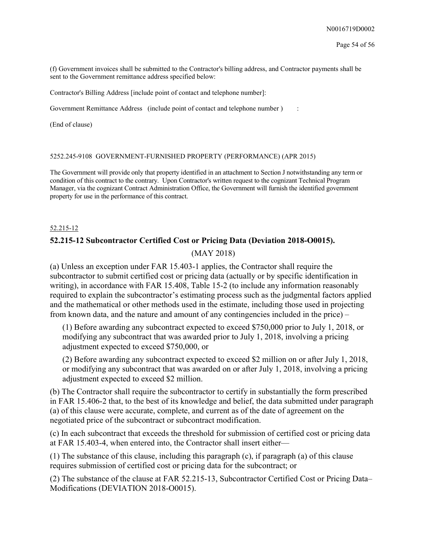(f) Government invoices shall be submitted to the Contractor's billing address, and Contractor payments shall be sent to the Government remittance address specified below:

Contractor's Billing Address [include point of contact and telephone number]:

Government Remittance Address (include point of contact and telephone number ) :

(End of clause)

#### 5252.245-9108 GOVERNMENT-FURNISHED PROPERTY (PERFORMANCE) (APR 2015)

The Government will provide only that property identified in an attachment to Section J notwithstanding any term or condition of this contract to the contrary. Upon Contractor's written request to the cognizant Technical Program Manager, via the cognizant Contract Administration Office, the Government will furnish the identified government property for use in the performance of this contract.

#### 52.215-12

## 52.215-12 Subcontractor Certified Cost or Pricing Data (Deviation 2018-O0015).

(MAY 2018)

(a) Unless an exception under FAR 15.403-1 applies, the Contractor shall require the subcontractor to submit certified cost or pricing data (actually or by specific identification in writing), in accordance with FAR 15.408, Table 15-2 (to include any information reasonably required to explain the subcontractor's estimating process such as the judgmental factors applied and the mathematical or other methods used in the estimate, including those used in projecting from known data, and the nature and amount of any contingencies included in the price) –

(1) Before awarding any subcontract expected to exceed \$750,000 prior to July 1, 2018, or modifying any subcontract that was awarded prior to July 1, 2018, involving a pricing adjustment expected to exceed \$750,000, or

(2) Before awarding any subcontract expected to exceed \$2 million on or after July 1, 2018, or modifying any subcontract that was awarded on or after July 1, 2018, involving a pricing adjustment expected to exceed \$2 million.

(b) The Contractor shall require the subcontractor to certify in substantially the form prescribed in FAR 15.406-2 that, to the best of its knowledge and belief, the data submitted under paragraph (a) of this clause were accurate, complete, and current as of the date of agreement on the negotiated price of the subcontract or subcontract modification.

(c) In each subcontract that exceeds the threshold for submission of certified cost or pricing data at FAR 15.403-4, when entered into, the Contractor shall insert either—

(1) The substance of this clause, including this paragraph (c), if paragraph (a) of this clause requires submission of certified cost or pricing data for the subcontract; or

(2) The substance of the clause at FAR 52.215-13, Subcontractor Certified Cost or Pricing Data– Modifications (DEVIATION 2018-O0015).